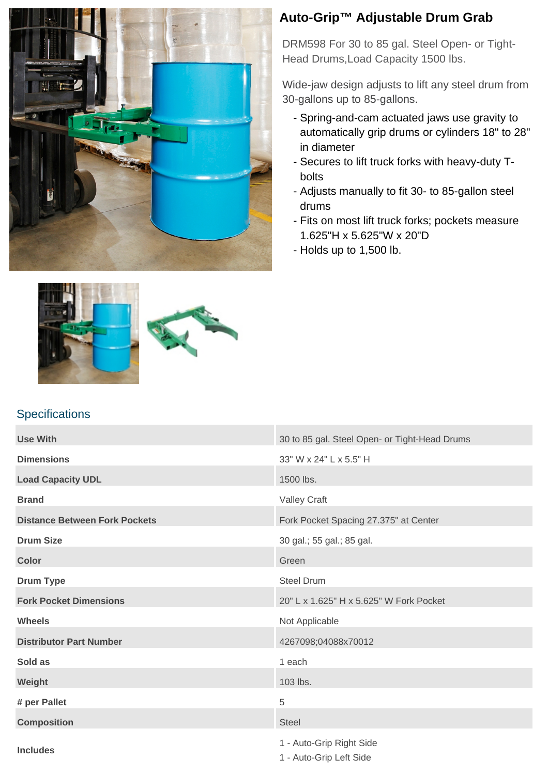

## **Auto-Grip™ Adjustable Drum Grab**

DRM598 For 30 to 85 gal. Steel Open- or Tight-Head Drums,Load Capacity 1500 lbs.

Wide-jaw design adjusts to lift any steel drum from 30-gallons up to 85-gallons.

- Spring-and-cam actuated jaws use gravity to automatically grip drums or cylinders 18" to 28" in diameter
- Secures to lift truck forks with heavy-duty Tbolts
- Adjusts manually to fit 30- to 85-gallon steel drums
- Fits on most lift truck forks; pockets measure 1.625"H x 5.625"W x 20"D
- Holds up to 1,500 lb.



**Specifications** 



## **Use With 30 to 85 gal. Steel Open- or Tight-Head Drums Dimensions** 33" W x 24" L x 5.5" H **Load Capacity UDL** 1500 lbs. **Brand** Valley Craft **Distance Between Fork Pockets** Force Force Fork Pocket Spacing 27.375" at Center **Drum Size** 30 gal.; 55 gal.; 85 gal. **Color** Green Color Color Color Color Color Color Color Color Color Color Color Color **Drum Type** Steel Drum **Fork Pocket Dimensions** 20" L x 1.625" H x 5.625" W Fork Pocket **Wheels** Not Applicable **Distributor Part Number** 4267098:04088x70012 **Sold as** 1 each **Weight** 103 lbs. **# per Pallet** 5 **Composition** Steel **Includes** 1 - Auto-Grip Right Side 1 - Auto-Grip Left Side